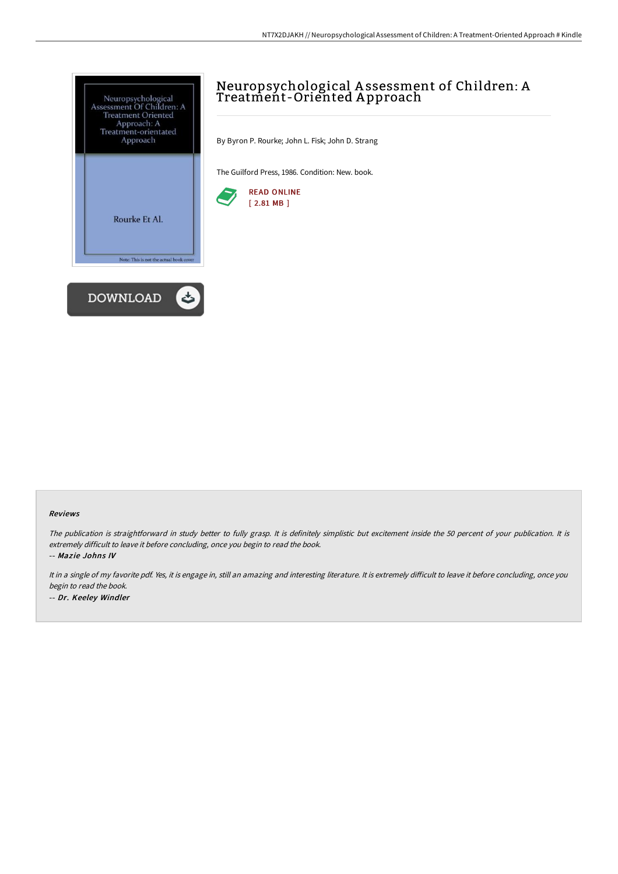

# Neuropsychological A ssessment of Children: A Treatment-Oriented A pproach

By Byron P. Rourke; John L. Fisk; John D. Strang

The Guilford Press, 1986. Condition: New. book.



### Reviews

The publication is straightforward in study better to fully grasp. It is definitely simplistic but excitement inside the 50 percent of your publication. It is extremely difficult to leave it before concluding, once you begin to read the book. -- Mazie Johns IV

It in a single of my favorite pdf. Yes, it is engage in, still an amazing and interesting literature. It is extremely difficult to leave it before concluding, once you begin to read the book.

-- Dr. Keeley Windler